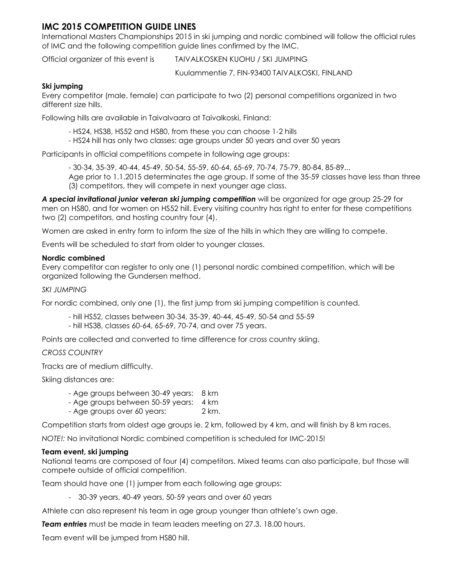# **IMC 2015 COMPETITION GUIDE LINES**

International Masters Championships 2015 in ski jumping and nordic combined will follow the official rules of IMC and the following competition guide lines confirmed by the IMC.

Official organizer of this event is TAIVALKOSKEN KUOHU / SKI JUMPING

Kuulammentie 7, FIN-93400 TAIVALKOSKI, FINLAND

# **Ski jumping**

Every competitor (male, female) can participate to two (2) personal competitions organized in two different size hills.

Following hills are available in Taivalvaara at Taivalkoski, Finland:

- HS24, HS38, HS52 and HS80, from these you can choose 1-2 hills
- HS24 hill has only two classes: age groups under 50 years and over 50 years

Participants in official competitions compete in following age groups:

- 30-34, 35-39, 40-44, 45-49, 50-54, 55-59, 60-64, 65-69, 70-74, 75-79, 80-84, 85-89...

Age prior to 1.1.2015 determinates the age group. If some of the 35-59 classes have less than three (3) competitors, they will compete in next younger age class.

*A special invitational junior veteran ski jumping competition* will be organized for age group 25-29 for men on HS80, and for women on HS52 hill. Every visiting country has right to enter for these competitions two (2) competitors, and hosting country four (4).

Women are asked in entry form to inform the size of the hills in which they are willing to compete.

Events will be scheduled to start from older to younger classes.

# **Nordic combined**

Every competitor can register to only one (1) personal nordic combined competition, which will be organized following the Gundersen method.

# *SKI JUMPING*

For nordic combined, only one (1), the first jump from ski jumping competition is counted.

- hill HS52, classes between 30-34, 35-39, 40-44, 45-49, 50-54 and 55-59
- hill HS38, classes 60-64, 65-69, 70-74, and over 75 years.

Points are collected and converted to time difference for cross country skiing.

# *CROSS COUNTRY*

Tracks are of medium difficulty.

Skiing distances are:

- Age groups between 30-49 years: 8 km
- Age groups between 50-59 years: 4 km
- Age groups over 60 years: 2 km.

Competition starts from oldest age groups ie. 2 km, followed by 4 km, and will finish by 8 km races.

*NOTE!:* No invitational Nordic combined competition is scheduled for IMC-2015!

# **Team event, ski jumping**

National teams are composed of four (4) competitors. Mixed teams can also participate, but those will compete outside of official competition.

Team should have one (1) jumper from each following age groups:

- 30-39 years, 40-49 years, 50-59 years and over 60 years

Athlete can also represent his team in age group younger than athlete's own age.

*Team entries* must be made in team leaders meeting on 27.3. 18.00 hours.

Team event will be jumped from HS80 hill.